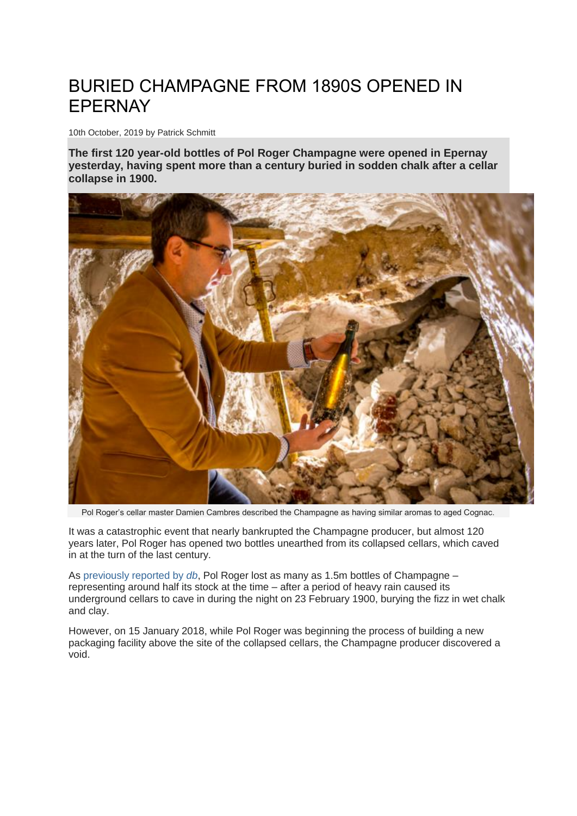## BURIED CHAMPAGNE FROM 1890S OPENED IN EPERNAY

10th October, 2019 by Patrick Schmitt

**The first 120 year-old bottles of Pol Roger Champagne were opened in Epernay yesterday, having spent more than a century buried in sodden chalk after a cellar collapse in 1900.**



Pol Roger's cellar master Damien Cambres described the Champagne as having similar aromas to aged Cognac.

It was a catastrophic event that nearly bankrupted the Champagne producer, but almost 120 years later, Pol Roger has opened two bottles unearthed from its collapsed cellars, which caved in at the turn of the last century.

As [previously reported by](https://www.thedrinksbusiness.com/2019/05/pol-roger-to-use-robot-to-reach-century-old-buried-champagne/) *db*, Pol Roger lost as many as 1.5m bottles of Champagne – representing around half its stock at the time – after a period of heavy rain caused its underground cellars to cave in during the night on 23 February 1900, burying the fizz in wet chalk and clay.

However, on 15 January 2018, while Pol Roger was beginning the process of building a new packaging facility above the site of the collapsed cellars, the Champagne producer discovered a void.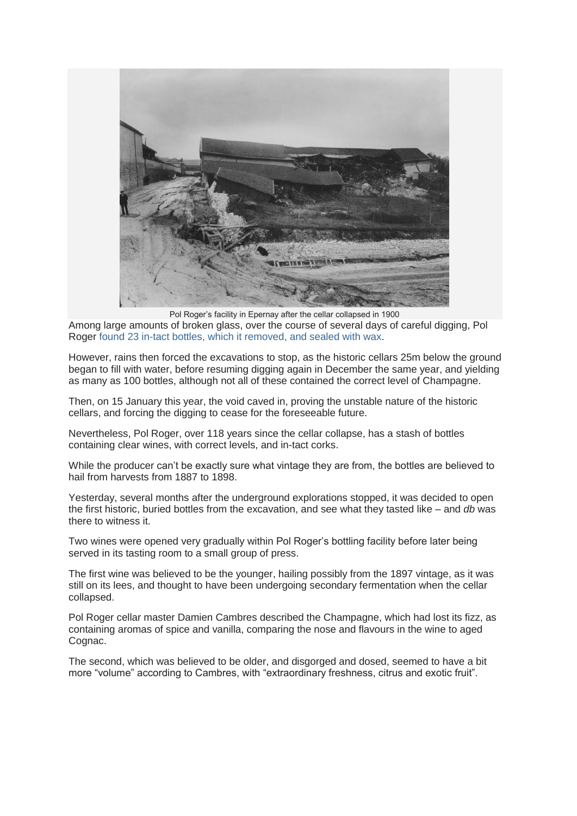

Pol Roger's facility in Epernay after the cellar collapsed in 1900

Among large amounts of broken glass, over the course of several days of careful digging, Pol Roger [found 23 in-tact bottles, which it removed, and sealed with wax.](https://www.thedrinksbusiness.com/2018/02/pol-roger-unearths-champagne-from-1890s/)

However, rains then forced the excavations to stop, as the historic cellars 25m below the ground began to fill with water, before resuming digging again in December the same year, and yielding as many as 100 bottles, although not all of these contained the correct level of Champagne.

Then, on 15 January this year, the void caved in, proving the unstable nature of the historic cellars, and forcing the digging to cease for the foreseeable future.

Nevertheless, Pol Roger, over 118 years since the cellar collapse, has a stash of bottles containing clear wines, with correct levels, and in-tact corks.

While the producer can't be exactly sure what vintage they are from, the bottles are believed to hail from harvests from 1887 to 1898.

Yesterday, several months after the underground explorations stopped, it was decided to open the first historic, buried bottles from the excavation, and see what they tasted like – and *db* was there to witness it.

Two wines were opened very gradually within Pol Roger's bottling facility before later being served in its tasting room to a small group of press.

The first wine was believed to be the younger, hailing possibly from the 1897 vintage, as it was still on its lees, and thought to have been undergoing secondary fermentation when the cellar collapsed.

Pol Roger cellar master Damien Cambres described the Champagne, which had lost its fizz, as containing aromas of spice and vanilla, comparing the nose and flavours in the wine to aged Cognac.

The second, which was believed to be older, and disgorged and dosed, seemed to have a bit more "volume" according to Cambres, with "extraordinary freshness, citrus and exotic fruit".